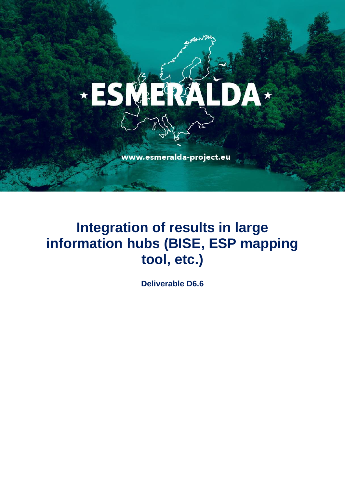# \*ESMERA LDA\*

www.esmeralda-project.eu

## **Integration of results in large information hubs (BISE, ESP mapping tool, etc.)**

**Deliverable D6.6**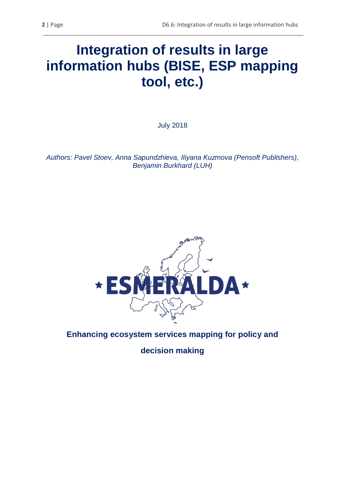### **Integration of results in large information hubs (BISE, ESP mapping tool, etc.)**

\_\_\_\_\_\_\_\_\_\_\_\_\_\_\_\_\_\_\_\_\_\_\_\_\_\_\_\_\_\_\_\_\_\_\_\_\_\_\_\_\_\_\_\_\_\_\_\_\_\_\_\_\_\_\_\_\_\_\_\_\_\_\_\_\_\_\_\_\_\_\_\_\_\_\_\_\_\_\_\_\_\_

July 2018

*Authors: Pavel Stoev, Anna Sapundzhieva, Iliyana Kuzmova (Pensoft Publishers), Benjamin Burkhard (LUH)*



**Enhancing ecosystem services mapping for policy and** 

**decision making**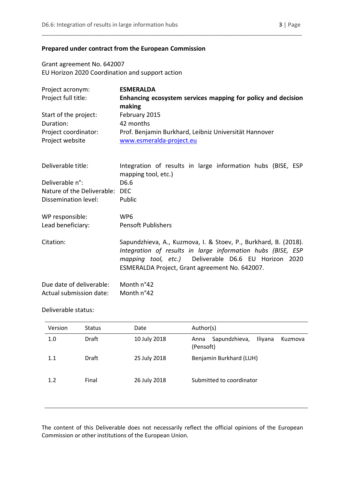#### **Prepared under contract from the European Commission**

Grant agreement No. 642007 EU Horizon 2020 Coordination and support action

| Project acronym:           | <b>ESMERALDA</b>                                                                                                                                                                                                                         |  |
|----------------------------|------------------------------------------------------------------------------------------------------------------------------------------------------------------------------------------------------------------------------------------|--|
| Project full title:        | Enhancing ecosystem services mapping for policy and decision                                                                                                                                                                             |  |
|                            | making                                                                                                                                                                                                                                   |  |
| Start of the project:      | February 2015                                                                                                                                                                                                                            |  |
| Duration:                  | 42 months                                                                                                                                                                                                                                |  |
| Project coordinator:       | Prof. Benjamin Burkhard, Leibniz Universität Hannover                                                                                                                                                                                    |  |
| Project website            | www.esmeralda-project.eu                                                                                                                                                                                                                 |  |
| Deliverable title:         | Integration of results in large information hubs (BISE, ESP<br>mapping tool, etc.)                                                                                                                                                       |  |
| Deliverable n°:            | D6.6                                                                                                                                                                                                                                     |  |
| Nature of the Deliverable: | <b>DEC</b>                                                                                                                                                                                                                               |  |
| Dissemination level:       | Public                                                                                                                                                                                                                                   |  |
|                            |                                                                                                                                                                                                                                          |  |
| WP responsible:            | WP <sub>6</sub>                                                                                                                                                                                                                          |  |
| Lead beneficiary:          | <b>Pensoft Publishers</b>                                                                                                                                                                                                                |  |
| Citation:                  | Sapundzhieva, A., Kuzmova, I. & Stoev, P., Burkhard, B. (2018).<br>Integration of results in large information hubs (BISE, ESP<br>mapping tool, etc.) Deliverable D6.6 EU Horizon 2020<br>ESMERALDA Project, Grant agreement No. 642007. |  |
| Due date of deliverable:   | Month n°42                                                                                                                                                                                                                               |  |
| Actual submission date:    | Month n°42                                                                                                                                                                                                                               |  |

\_\_\_\_\_\_\_\_\_\_\_\_\_\_\_\_\_\_\_\_\_\_\_\_\_\_\_\_\_\_\_\_\_\_\_\_\_\_\_\_\_\_\_\_\_\_\_\_\_\_\_\_\_\_\_\_\_\_\_\_\_\_\_\_\_\_\_\_\_\_\_\_\_\_\_\_\_\_\_\_\_\_

#### Deliverable status:

| Version | <b>Status</b> | Date         | Author(s)                                                       |
|---------|---------------|--------------|-----------------------------------------------------------------|
| 1.0     | Draft         | 10 July 2018 | Sapundzhieva,<br><b>Iliyana</b><br>Kuzmova<br>Anna<br>(Pensoft) |
| 1.1     | Draft         | 25 July 2018 | Benjamin Burkhard (LUH)                                         |
| 1.2     | Final         | 26 July 2018 | Submitted to coordinator                                        |

The content of this Deliverable does not necessarily reflect the official opinions of the European Commission or other institutions of the European Union.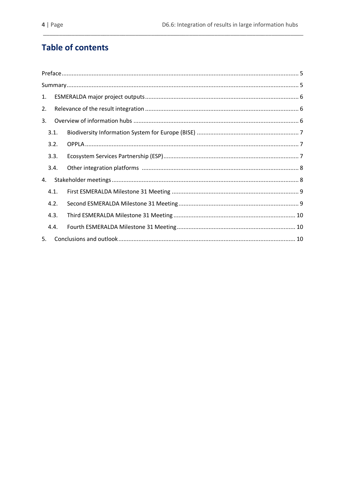### **Table of contents**

| 1. |      |  |
|----|------|--|
| 2. |      |  |
| 3. |      |  |
|    | 3.1. |  |
|    | 3.2. |  |
|    | 3.3. |  |
|    | 3.4. |  |
| 4. |      |  |
|    | 4.1. |  |
|    | 4.2. |  |
|    | 4.3. |  |
|    | 4.4. |  |
| 5. |      |  |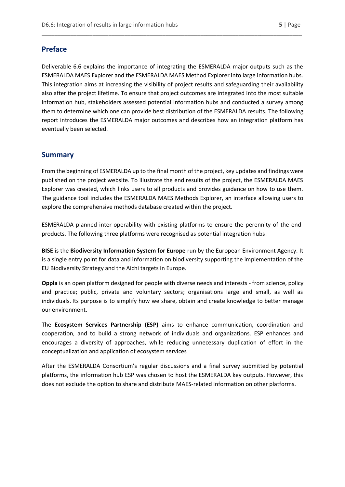#### <span id="page-4-0"></span>**Preface**

Deliverable 6.6 explains the importance of integrating the ESMERALDA major outputs such as the ESMERALDA MAES Explorer and the ESMERALDA MAES Method Explorer into large information hubs. This integration aims at increasing the visibility of project results and safeguarding their availability also after the project lifetime. To ensure that project outcomes are integrated into the most suitable information hub, stakeholders assessed potential information hubs and conducted a survey among them to determine which one can provide best distribution of the ESMERALDA results. The following report introduces the ESMERALDA major outcomes and describes how an integration platform has eventually been selected.

\_\_\_\_\_\_\_\_\_\_\_\_\_\_\_\_\_\_\_\_\_\_\_\_\_\_\_\_\_\_\_\_\_\_\_\_\_\_\_\_\_\_\_\_\_\_\_\_\_\_\_\_\_\_\_\_\_\_\_\_\_\_\_\_\_\_\_\_\_\_\_\_\_\_\_\_\_\_\_\_\_\_

#### <span id="page-4-1"></span>**Summary**

From the beginning of ESMERALDA up to the final month of the project, key updates and findings were published on the project website. To illustrate the end results of the project, the ESMERALDA MAES Explorer was created, which links users to all products and provides guidance on how to use them. The guidance tool includes the ESMERALDA MAES Methods Explorer, an interface allowing users to explore the comprehensive methods database created within the project.

ESMERALDA planned inter-operability with existing platforms to ensure the perennity of the endproducts. The following three platforms were recognised as potential integration hubs:

**BISE** is the **Biodiversity Information System for Europe** run by the European Environment Agency. It is a single entry point for data and information on biodiversity supporting the implementation of the EU Biodiversity Strategy and the Aichi targets in Europe.

**Oppla** is an open platform designed for people with diverse needs and interests - from science, policy and practice; public, private and voluntary sectors; organisations large and small, as well as individuals. Its purpose is to simplify how we share, obtain and create knowledge to better manage our environment.

The **Ecosystem Services Partnership (ESP)** aims to enhance communication, coordination and cooperation, and to build a strong network of individuals and organizations. ESP enhances and encourages a diversity of approaches, while reducing unnecessary duplication of effort in the conceptualization and application of ecosystem services

After the ESMERALDA Consortium's regular discussions and a final survey submitted by potential platforms, the information hub ESP was chosen to host the ESMERALDA key outputs. However, this does not exclude the option to share and distribute MAES-related information on other platforms.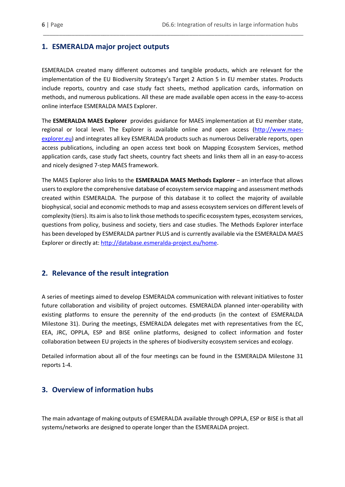#### <span id="page-5-0"></span>**1. ESMERALDA major project outputs**

ESMERALDA created many different outcomes and tangible products, which are relevant for the implementation of the EU Biodiversity Strategy's Target 2 Action 5 in EU member states. Products include reports, country and case study fact sheets, method application cards, information on methods, and numerous publications. All these are made available open access in the easy-to-access online interface ESMERALDA MAES Explorer.

\_\_\_\_\_\_\_\_\_\_\_\_\_\_\_\_\_\_\_\_\_\_\_\_\_\_\_\_\_\_\_\_\_\_\_\_\_\_\_\_\_\_\_\_\_\_\_\_\_\_\_\_\_\_\_\_\_\_\_\_\_\_\_\_\_\_\_\_\_\_\_\_\_\_\_\_\_\_\_\_\_\_

The **ESMERALDA MAES Explorer** provides guidance for MAES implementation at EU member state, regional or local level. The Explorer is available online and open access [\(http://www.maes](http://www.maes-explorer.eu/)[explorer.eu\)](http://www.maes-explorer.eu/) and integrates all key ESMERALDA products such as numerous Deliverable reports, open access publications, including an open access text book on Mapping Ecosystem Services, method application cards, case study fact sheets, country fact sheets and links them all in an easy-to-access and nicely designed 7-step MAES framework.

The MAES Explorer also links to the **ESMERALDA MAES Methods Explorer** – an interface that allows users to explore the comprehensive database of ecosystem service mapping and assessment methods created within ESMERALDA. The purpose of this database it to collect the majority of available biophysical, social and economic methods to map and assess ecosystem services on different levels of complexity (tiers). Its aim is also to link those methods to specific ecosystem types, ecosystem services, questions from policy, business and society, tiers and case studies. The Methods Explorer interface has been developed by ESMERALDA partner PLUS and is currently available via the ESMERALDA MAES Explorer or directly at: [http://database.esmeralda-project.eu/home.](http://database.esmeralda-project.eu/home)

#### <span id="page-5-1"></span>**2. Relevance of the result integration**

A series of meetings aimed to develop ESMERALDA communication with relevant initiatives to foster future collaboration and visibility of project outcomes. ESMERALDA planned inter-operability with existing platforms to ensure the perennity of the end-products (in the context of ESMERALDA Milestone 31). During the meetings, ESMERALDA delegates met with representatives from the EC, EEA, JRC, OPPLA, ESP and BISE online platforms, designed to collect information and foster collaboration between EU projects in the spheres of biodiversity ecosystem services and ecology.

Detailed information about all of the four meetings can be found in the ESMERALDA Milestone 31 reports 1-4.

#### <span id="page-5-2"></span>**3. Overview of information hubs**

The main advantage of making outputs of ESMERALDA available through OPPLA, ESP or BISE is that all systems/networks are designed to operate longer than the ESMERALDA project.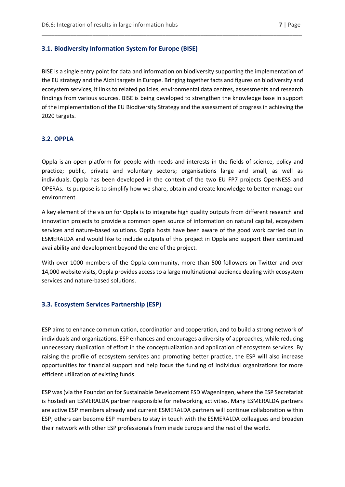#### <span id="page-6-0"></span>**3.1. Biodiversity Information System for Europe (BISE)**

BISE is a single entry point for data and information on biodiversity supporting the implementation of the EU strategy and the Aichi targets in Europe. Bringing together facts and figures on biodiversity and ecosystem services, it links to related policies, environmental data centres, assessments and research findings from various sources. BISE is being developed to strengthen the knowledge base in support of the implementation of the EU Biodiversity Strategy and the assessment of progress in achieving the 2020 targets.

\_\_\_\_\_\_\_\_\_\_\_\_\_\_\_\_\_\_\_\_\_\_\_\_\_\_\_\_\_\_\_\_\_\_\_\_\_\_\_\_\_\_\_\_\_\_\_\_\_\_\_\_\_\_\_\_\_\_\_\_\_\_\_\_\_\_\_\_\_\_\_\_\_\_\_\_\_\_\_\_\_\_

#### <span id="page-6-1"></span>**3.2. OPPLA**

Oppla is an open platform for people with needs and interests in the fields of science, policy and practice; public, private and voluntary sectors; organisations large and small, as well as individuals. Oppla has been developed in the context of the two EU FP7 projects OpenNESS and OPERAs. Its purpose is to simplify how we share, obtain and create knowledge to better manage our environment.

A key element of the vision for Oppla is to integrate high quality outputs from different research and innovation projects to provide a common open source of information on natural capital, ecosystem services and nature-based solutions. Oppla hosts have been aware of the good work carried out in ESMERALDA and would like to include outputs of this project in Oppla and support their continued availability and development beyond the end of the project.

With over 1000 members of the Oppla community, more than 500 followers on Twitter and over 14,000 website visits, Oppla provides access to a large multinational audience dealing with ecosystem services and nature-based solutions.

#### <span id="page-6-2"></span>**3.3. Ecosystem Services Partnership (ESP)**

ESP aims to enhance communication, coordination and cooperation, and to build a strong network of individuals and organizations. ESP enhances and encourages a diversity of approaches, while reducing unnecessary duplication of effort in the conceptualization and application of ecosystem services. By raising the profile of ecosystem services and promoting better practice, the ESP will also increase opportunities for financial support and help focus the funding of individual organizations for more efficient utilization of existing funds.

ESP was (via the Foundation for Sustainable Development FSD Wageningen, where the ESP Secretariat is hosted) an ESMERALDA partner responsible for networking activities. Many ESMERALDA partners are active ESP members already and current ESMERALDA partners will continue collaboration within ESP; others can become ESP members to stay in touch with the ESMERALDA colleagues and broaden their network with other ESP professionals from inside Europe and the rest of the world.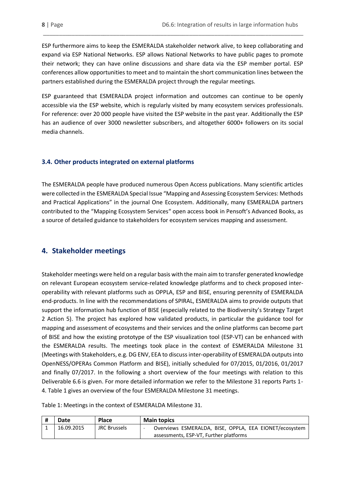ESP furthermore aims to keep the ESMERALDA stakeholder network alive, to keep collaborating and expand via ESP National Networks. ESP allows National Networks to have public pages to promote their network; they can have online discussions and share data via the ESP member portal. ESP conferences allow opportunities to meet and to maintain the short communication lines between the partners established during the ESMERALDA project through the regular meetings.

\_\_\_\_\_\_\_\_\_\_\_\_\_\_\_\_\_\_\_\_\_\_\_\_\_\_\_\_\_\_\_\_\_\_\_\_\_\_\_\_\_\_\_\_\_\_\_\_\_\_\_\_\_\_\_\_\_\_\_\_\_\_\_\_\_\_\_\_\_\_\_\_\_\_\_\_\_\_\_\_\_\_

ESP guaranteed that ESMERALDA project information and outcomes can continue to be openly accessible via the ESP website, which is regularly visited by many ecosystem services professionals. For reference: over 20 000 people have visited the ESP website in the past year. Additionally the ESP has an audience of over 3000 newsletter subscribers, and altogether 6000+ followers on its social media channels.

#### <span id="page-7-0"></span>**3.4. Other products integrated on external platforms**

The ESMERALDA people have produced numerous Open Access publications. Many scientific articles were collected in the ESMERALDA Special Issue "Mapping and Assessing Ecosystem Services: Methods and Practical Applications" in the journal One Ecosystem. Additionally, many ESMERALDA partners contributed to the "Mapping Ecosystem Services" open access book in Pensoft's Advanced Books, as a source of detailed guidance to stakeholders for ecosystem services mapping and assessment.

#### <span id="page-7-1"></span>**4. Stakeholder meetings**

Stakeholder meetings were held on a regular basis with the main aim to transfer generated knowledge on relevant European ecosystem service-related knowledge platforms and to check proposed interoperability with relevant platforms such as OPPLA, ESP and BISE, ensuring perennity of ESMERALDA end-products. In line with the recommendations of SPIRAL, ESMERALDA aims to provide outputs that support the information hub function of BISE (especially related to the Biodiversity's Strategy Target 2 Action 5). The project has explored how validated products, in particular the guidance tool for mapping and assessment of ecosystems and their services and the online platforms can become part of BISE and how the existing prototype of the ESP visualization tool (ESP-VT) can be enhanced with the ESMERALDA results. The meetings took place in the context of ESMERALDA Milestone 31 (Meetings with Stakeholders, e.g. DG ENV, EEA to discussinter-operability of ESMERALDA outputs into OpenNESS/OPERAs Common Platform and BISE), initially scheduled for 07/2015, 01/2016, 01/2017 and finally 07/2017. In the following a short overview of the four meetings with relation to this Deliverable 6.6 is given. For more detailed information we refer to the Milestone 31 reports Parts 1- 4. Table 1 gives an overview of the four ESMERALDA Milestone 31 meetings.

Table 1: Meetings in the context of ESMERALDA Milestone 31.

| Date       | <b>Place</b>        | <b>Main topics</b>                                     |  |
|------------|---------------------|--------------------------------------------------------|--|
| 16.09.2015 | <b>JRC Brussels</b> | Overviews ESMERALDA, BISE, OPPLA, EEA EIONET/ecosystem |  |
|            |                     | assessments, ESP-VT, Further platforms                 |  |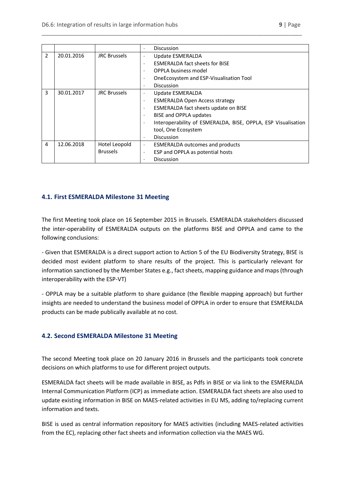|   |            |                     | <b>Discussion</b>                                             |  |
|---|------------|---------------------|---------------------------------------------------------------|--|
| 2 | 20.01.2016 | <b>JRC Brussels</b> | Update ESMERALDA                                              |  |
|   |            |                     | <b>ESMERALDA fact sheets for BISE</b><br>٠                    |  |
|   |            |                     | OPPLA business model                                          |  |
|   |            |                     | OneEcosystem and ESP-Visualisation Tool                       |  |
|   |            |                     | Discussion<br>$\cdot$                                         |  |
| 3 | 30.01.2017 | <b>JRC Brussels</b> | Update ESMERALDA                                              |  |
|   |            |                     | <b>ESMERALDA Open Access strategy</b>                         |  |
|   |            |                     | ESMERALDA fact sheets update on BISE<br>$\cdot$               |  |
|   |            |                     | BISE and OPPLA updates                                        |  |
|   |            |                     | Interoperability of ESMERALDA, BISE, OPPLA, ESP Visualisation |  |
|   |            |                     | tool, One Ecosystem                                           |  |
|   |            |                     | Discussion<br>$\cdot$                                         |  |
| 4 | 12.06.2018 | Hotel Leopold       | <b>ESMERALDA outcomes and products</b>                        |  |
|   |            | <b>Brussels</b>     | ESP and OPPLA as potential hosts                              |  |
|   |            |                     | <b>Discussion</b>                                             |  |

\_\_\_\_\_\_\_\_\_\_\_\_\_\_\_\_\_\_\_\_\_\_\_\_\_\_\_\_\_\_\_\_\_\_\_\_\_\_\_\_\_\_\_\_\_\_\_\_\_\_\_\_\_\_\_\_\_\_\_\_\_\_\_\_\_\_\_\_\_\_\_\_\_\_\_\_\_\_\_\_\_\_

#### <span id="page-8-0"></span>**4.1. First ESMERALDA Milestone 31 Meeting**

The first Meeting took place on 16 September 2015 in Brussels. ESMERALDA stakeholders discussed the inter-operability of ESMERALDA outputs on the platforms BISE and OPPLA and came to the following conclusions:

- Given that ESMERALDA is a direct support action to Action 5 of the EU Biodiversity Strategy, BISE is decided most evident platform to share results of the project. This is particularly relevant for information sanctioned by the Member States e.g., fact sheets, mapping guidance and maps (through interoperability with the ESP-VT)

- OPPLA may be a suitable platform to share guidance (the flexible mapping approach) but further insights are needed to understand the business model of OPPLA in order to ensure that ESMERALDA products can be made publically available at no cost.

#### <span id="page-8-1"></span>**4.2. Second ESMERALDA Milestone 31 Meeting**

The second Meeting took place on 20 January 2016 in Brussels and the participants took concrete decisions on which platforms to use for different project outputs.

ESMERALDA fact sheets will be made available in BISE, as Pdfs in BISE or via link to the ESMERALDA Internal Communication Platform (ICP) as immediate action. ESMERALDA fact sheets are also used to update existing information in BISE on MAES-related activities in EU MS, adding to/replacing current information and texts.

BISE is used as central information repository for MAES activities (including MAES-related activities from the EC), replacing other fact sheets and information collection via the MAES WG.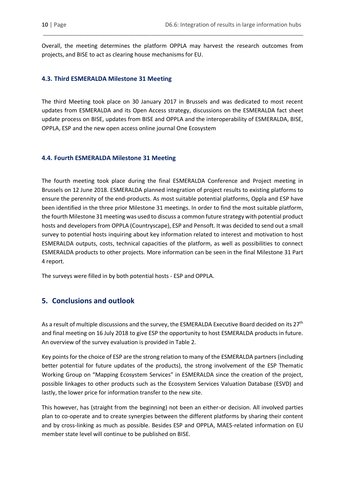Overall, the meeting determines the platform OPPLA may harvest the research outcomes from projects, and BISE to act as clearing house mechanisms for EU.

\_\_\_\_\_\_\_\_\_\_\_\_\_\_\_\_\_\_\_\_\_\_\_\_\_\_\_\_\_\_\_\_\_\_\_\_\_\_\_\_\_\_\_\_\_\_\_\_\_\_\_\_\_\_\_\_\_\_\_\_\_\_\_\_\_\_\_\_\_\_\_\_\_\_\_\_\_\_\_\_\_\_

#### <span id="page-9-0"></span>**4.3. Third ESMERALDA Milestone 31 Meeting**

The third Meeting took place on 30 January 2017 in Brussels and was dedicated to most recent updates from ESMERALDA and its Open Access strategy, discussions on the ESMERALDA fact sheet update process on BISE, updates from BISE and OPPLA and the interoperability of ESMERALDA, BISE, OPPLA, ESP and the new open access online journal One Ecosystem

#### <span id="page-9-1"></span>**4.4. Fourth ESMERALDA Milestone 31 Meeting**

The fourth meeting took place during the final ESMERALDA Conference and Project meeting in Brussels on 12 June 2018. ESMERALDA planned integration of project results to existing platforms to ensure the perennity of the end-products. As most suitable potential platforms, Oppla and ESP have been identified in the three prior Milestone 31 meetings. In order to find the most suitable platform, the fourth Milestone 31 meeting was used to discuss a common future strategy with potential product hosts and developers from OPPLA (Countryscape), ESP and Pensoft. It was decided to send out a small survey to potential hosts inquiring about key information related to interest and motivation to host ESMERALDA outputs, costs, technical capacities of the platform, as well as possibilities to connect ESMERALDA products to other projects. More information can be seen in the final Milestone 31 Part 4 report.

The surveys were filled in by both potential hosts - ESP and OPPLA.

#### <span id="page-9-2"></span>**5. Conclusions and outlook**

As a result of multiple discussions and the survey, the ESMERALDA Executive Board decided on its 27<sup>th</sup> and final meeting on 16 July 2018 to give ESP the opportunity to host ESMERALDA products in future. An overview of the survey evaluation is provided in Table 2.

Key points for the choice of ESP are the strong relation to many of the ESMERALDA partners (including better potential for future updates of the products), the strong involvement of the ESP Thematic Working Group on "Mapping Ecosystem Services" in ESMERALDA since the creation of the project, possible linkages to other products such as the Ecosystem Services Valuation Database (ESVD) and lastly, the lower price for information transfer to the new site.

This however, has (straight from the beginning) not been an either-or decision. All involved parties plan to co-operate and to create synergies between the different platforms by sharing their content and by cross-linking as much as possible. Besides ESP and OPPLA, MAES-related information on EU member state level will continue to be published on BISE.